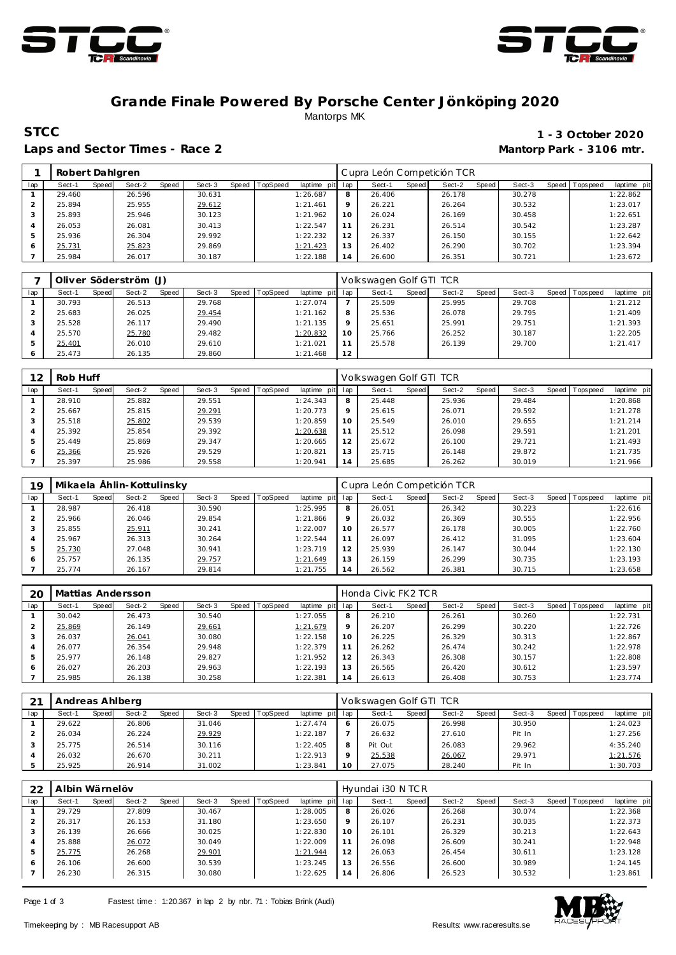



### **Grande Finale Powered By Porsche Center Jönköping 2020** Mantorps MK

Laps and Sector Times - Race 2 **Mantorp Park - 3106 mtr.** 

# **STCC** 1 - 3 October 2020

|     | Robert Dahlgren |       |        |       |        |       |          |                |             | Cupra León Competición TCR |       |        |       |        |       |           |             |
|-----|-----------------|-------|--------|-------|--------|-------|----------|----------------|-------------|----------------------------|-------|--------|-------|--------|-------|-----------|-------------|
| lap | Sect-1          | Speed | Sect-2 | Speed | Sect-3 | Speed | TopSpeed | laptime<br>pit | lap         | Sect-1                     | Speed | Sect-2 | Speed | Sect-3 | Speed | Tops peed | laptime pit |
|     | 29.460          |       | 26.596 |       | 30.631 |       |          | 1:26.687       | 8           | 26.406                     |       | 26.178 |       | 30.278 |       |           | 1:22.862    |
|     | 25.894          |       | 25.955 |       | 29.612 |       |          | 1:21.461       | $\mathsf Q$ | 26.221                     |       | 26.264 |       | 30.532 |       |           | 1:23.017    |
|     | 25.893          |       | 25.946 |       | 30.123 |       |          | 1:21.962       | 10          | 26.024                     |       | 26.169 |       | 30.458 |       |           | 1:22.651    |
| 4   | 26.053          |       | 26.081 |       | 30.413 |       |          | 1:22.547       |             | 26.231                     |       | 26.514 |       | 30.542 |       |           | 1:23.287    |
| 5   | 25.936          |       | 26.304 |       | 29.992 |       |          | 1:22.232       | 12          | 26.337                     |       | 26.150 |       | 30.155 |       |           | 1:22.642    |
| 6   | 25.731          |       | 25.823 |       | 29.869 |       |          | 1:21.423       | 13          | 26.402                     |       | 26.290 |       | 30.702 |       |           | 1:23.394    |
|     | 25.984          |       | 26.017 |       | 30.187 |       |          | 1:22.188       | 14          | 26.600                     |       | 26.351 |       | 30.721 |       |           | 1:23.672    |

|     |        |       | Oliver Söderström (J) |       |        |       |                 |                 |    | Volkswagen Golf GTI TCR |       |        |       |        |                 |             |
|-----|--------|-------|-----------------------|-------|--------|-------|-----------------|-----------------|----|-------------------------|-------|--------|-------|--------|-----------------|-------------|
| lap | Sect-1 | Speed | Sect-2                | Speed | Sect-3 | Speed | <b>TopSpeed</b> | laptime pit lap |    | Sect-1                  | Speed | Sect-2 | Speed | Sect-3 | Speed Tops peed | laptime pit |
|     | 30.793 |       | 26.513                |       | 29.768 |       |                 | 1:27.074        |    | 25.509                  |       | 25.995 |       | 29.708 |                 | 1:21.212    |
|     | 25.683 |       | 26.025                |       | 29.454 |       |                 | 1:21.162        | 8  | 25.536                  |       | 26.078 |       | 29.795 |                 | 1:21.409    |
|     | 25.528 |       | 26.117                |       | 29.490 |       |                 | 1:21.135        |    | 25.651                  |       | 25.991 |       | 29.751 |                 | 1:21.393    |
|     | 25.570 |       | 25.780                |       | 29.482 |       |                 | 1:20.832        | 10 | 25.766                  |       | 26.252 |       | 30.187 |                 | 1:22.205    |
|     | 25.401 |       | 26.010                |       | 29.610 |       |                 | 1:21.021        |    | 25.578                  |       | 26.139 |       | 29.700 |                 | 1:21.417    |
| 6   | 25.473 |       | 26.135                |       | 29.860 |       |                 | 1:21.468        | 12 |                         |       |        |       |        |                 |             |

| 12  | Rob Huff |       |        |       |        |       |                 |             |                | Volkswagen Golf GTI TCR |       |        |       |        |       |            |             |
|-----|----------|-------|--------|-------|--------|-------|-----------------|-------------|----------------|-------------------------|-------|--------|-------|--------|-------|------------|-------------|
| lap | Sect-1   | Speed | Sect-2 | Speed | Sect-3 | Speed | <b>TopSpeed</b> | laptime pit | lap            | Sect-1                  | Speed | Sect-2 | Speed | Sect-3 | Speed | J Topspeed | laptime pit |
|     | 28.910   |       | 25.882 |       | 29.551 |       |                 | 1:24.343    | 8              | 25.448                  |       | 25.936 |       | 29.484 |       |            | 1:20.868    |
|     | 25.667   |       | 25.815 |       | 29.291 |       |                 | 1:20.773    | $\circ$        | 25.615                  |       | 26.071 |       | 29.592 |       |            | 1:21.278    |
|     | 25.518   |       | 25.802 |       | 29.539 |       |                 | 1:20.859    | 10             | 25.549                  |       | 26.010 |       | 29.655 |       |            | 1:21.214    |
|     | 25.392   |       | 25.854 |       | 29.392 |       |                 | 1:20.638    | 11             | 25.512                  |       | 26.098 |       | 29.591 |       |            | 1:21.201    |
|     | 25.449   |       | 25.869 |       | 29.347 |       |                 | 1:20.665    | 12             | 25.672                  |       | 26.100 |       | 29.721 |       |            | 1:21.493    |
|     | 25.366   |       | 25.926 |       | 29.529 |       |                 | 1:20.821    | 13             | 25.715                  |       | 26.148 |       | 29.872 |       |            | 1:21.735    |
|     | 25.397   |       | 25.986 |       | 29.558 |       |                 | 1:20.941    | $\overline{4}$ | 25.685                  |       | 26.262 |       | 30.019 |       |            | 1:21.966    |

| 19  |        |       | Mikaela Ählin-Kottulinsky |       |        |       |                 |             |                | Cupra León Competición TCR |       |        |         |        |         |                  |             |
|-----|--------|-------|---------------------------|-------|--------|-------|-----------------|-------------|----------------|----------------------------|-------|--------|---------|--------|---------|------------------|-------------|
| lap | Sect-1 | Speed | Sect-2                    | Speed | Sect-3 | Speed | <b>TopSpeed</b> | laptime pit | lap            | Sect-1                     | Speed | Sect-2 | Speed I | Sect-3 | Speed I | <b>Tops peed</b> | laptime pit |
|     | 28.987 |       | 26.418                    |       | 30.590 |       |                 | 1:25.995    | 8              | 26.051                     |       | 26.342 |         | 30.223 |         |                  | 1:22.616    |
|     | 25.966 |       | 26.046                    |       | 29.854 |       |                 | 1:21.866    | 9              | 26.032                     |       | 26.369 |         | 30.555 |         |                  | 1:22.956    |
|     | 25.855 |       | 25.911                    |       | 30.241 |       |                 | 1:22.007    | 10             | 26.577                     |       | 26.178 |         | 30.005 |         |                  | 1:22.760    |
| 4   | 25.967 |       | 26.313                    |       | 30.264 |       |                 | 1:22.544    |                | 26.097                     |       | 26.412 |         | 31.095 |         |                  | 1:23.604    |
| 5   | 25.730 |       | 27.048                    |       | 30.941 |       |                 | 1:23.719    | 12             | 25.939                     |       | 26.147 |         | 30.044 |         |                  | 1:22.130    |
| 6   | 25.757 |       | 26.135                    |       | 29.757 |       |                 | 1:21.649    | 13             | 26.159                     |       | 26.299 |         | 30.735 |         |                  | 1:23.193    |
|     | 25.774 |       | 26.167                    |       | 29.814 |       |                 | 1:21.755    | $\overline{4}$ | 26.562                     |       | 26.381 |         | 30.715 |         |                  | 1:23.658    |

| 20  |        |       | Mattias Andersson |       |        |       |                 |             |         | Honda Civic FK2 TCR |       |        |       |        |                 |             |
|-----|--------|-------|-------------------|-------|--------|-------|-----------------|-------------|---------|---------------------|-------|--------|-------|--------|-----------------|-------------|
| lap | Sect-1 | Speed | Sect-2            | Speed | Sect-3 | Speed | <b>TopSpeed</b> | laptime pit | lap     | Sect-1              | Speed | Sect-2 | Speed | Sect-3 | Speed Tops peed | laptime pit |
|     | 30.042 |       | 26.473            |       | 30.540 |       |                 | 1:27.055    | 8       | 26.210              |       | 26.261 |       | 30.260 |                 | 1:22.731    |
|     | 25.869 |       | 26.149            |       | 29.661 |       |                 | 1:21.679    | $\circ$ | 26.207              |       | 26.299 |       | 30.220 |                 | 1:22.726    |
|     | 26.037 |       | 26.041            |       | 30.080 |       |                 | 1:22.158    | 10      | 26.225              |       | 26.329 |       | 30.313 |                 | 1:22.867    |
|     | 26.077 |       | 26.354            |       | 29.948 |       |                 | 1:22.379    |         | 26.262              |       | 26.474 |       | 30.242 |                 | 1:22.978    |
| 5   | 25.977 |       | 26.148            |       | 29.827 |       |                 | 1:21.952    | 12      | 26.343              |       | 26.308 |       | 30.157 |                 | 1:22.808    |
| 6   | 26.027 |       | 26.203            |       | 29.963 |       |                 | 1:22.193    | 13      | 26.565              |       | 26.420 |       | 30.612 |                 | 1:23.597    |
|     | 25.985 |       | 26.138            |       | 30.258 |       |                 | 1:22.381    | 14      | 26.613              |       | 26.408 |       | 30.753 |                 | 1:23.774    |

| 21  | Andreas Ahlberg |                 |                 |                         |         | Volkswagen Golf GTI TCR |                 |                   |                          |
|-----|-----------------|-----------------|-----------------|-------------------------|---------|-------------------------|-----------------|-------------------|--------------------------|
| lap | Sect-1<br>Speed | Sect-2<br>Speed | Sect-3<br>Speed | TopSpeed<br>laptime pit | lap     | Sect-1<br><b>Speed</b>  | Sect-2<br>Speed | Sect-3<br>Speed I | laptime pit<br>Tops peed |
|     | 29.622          | 26.806          | 31.046          | 1:27.474                | 6       | 26.075                  | 26.998          | 30.950            | 1:24.023                 |
|     | 26.034          | 26.224          | 29.929          | 1:22.187                |         | 26.632                  | 27.610          | Pit In            | 1:27.256                 |
|     | 25.775          | 26.514          | 30.116          | 1:22.405                | 8       | Pit Out                 | 26.083          | 29.962            | 4:35.240                 |
|     | 26.032          | 26.670          | 30.211          | 1:22.913                | $\circ$ | 25.538                  | 26.067          | 29.971            | 1:21.576                 |
|     | 25.925          | 26.914          | 31.002          | 1:23.841                | 10      | 27.075                  | 28.240          | Pit In            | 1:30.703                 |

| 22  | Albin Wärnelöv |       |        |       |        |              |          |             |     | Hyundai i30 N TCR |              |        |       |        |       |           |             |
|-----|----------------|-------|--------|-------|--------|--------------|----------|-------------|-----|-------------------|--------------|--------|-------|--------|-------|-----------|-------------|
| lap | Sect-1         | Speed | Sect-2 | Speed | Sect-3 | <b>Speed</b> | TopSpeed | laptime pit | lap | Sect-1            | <b>Speed</b> | Sect-2 | Speed | Sect-3 | Speed | Tops peed | laptime pit |
|     | 29.729         |       | 27.809 |       | 30.467 |              |          | 1:28.005    | 8   | 26.026            |              | 26.268 |       | 30.074 |       |           | 1:22.368    |
|     | 26.317         |       | 26.153 |       | 31.180 |              |          | 1:23.650    | 9   | 26.107            |              | 26.231 |       | 30.035 |       |           | 1:22.373    |
| 3   | 26.139         |       | 26.666 |       | 30.025 |              |          | 1:22.830    | 10  | 26.101            |              | 26.329 |       | 30.213 |       |           | 1:22.643    |
| 4   | 25.888         |       | 26.072 |       | 30.049 |              |          | 1:22.009    | 11  | 26.098            |              | 26.609 |       | 30.241 |       |           | 1:22.948    |
| 5   | 25.775         |       | 26.268 |       | 29.901 |              |          | 1:21.944    | 12  | 26.063            |              | 26.454 |       | 30.611 |       |           | 1:23.128    |
| 6   | 26.106         |       | 26.600 |       | 30.539 |              |          | 1:23.245    | 13  | 26.556            |              | 26.600 |       | 30.989 |       |           | 1:24.145    |
|     | 26.230         |       | 26.315 |       | 30.080 |              |          | 1:22.625    | 14  | 26.806            |              | 26.523 |       | 30.532 |       |           | 1:23.861    |

Page 1 of 3 Fastest time: 1:20.367 in lap 2 by nbr. 71 : Tobias Brink (Audi)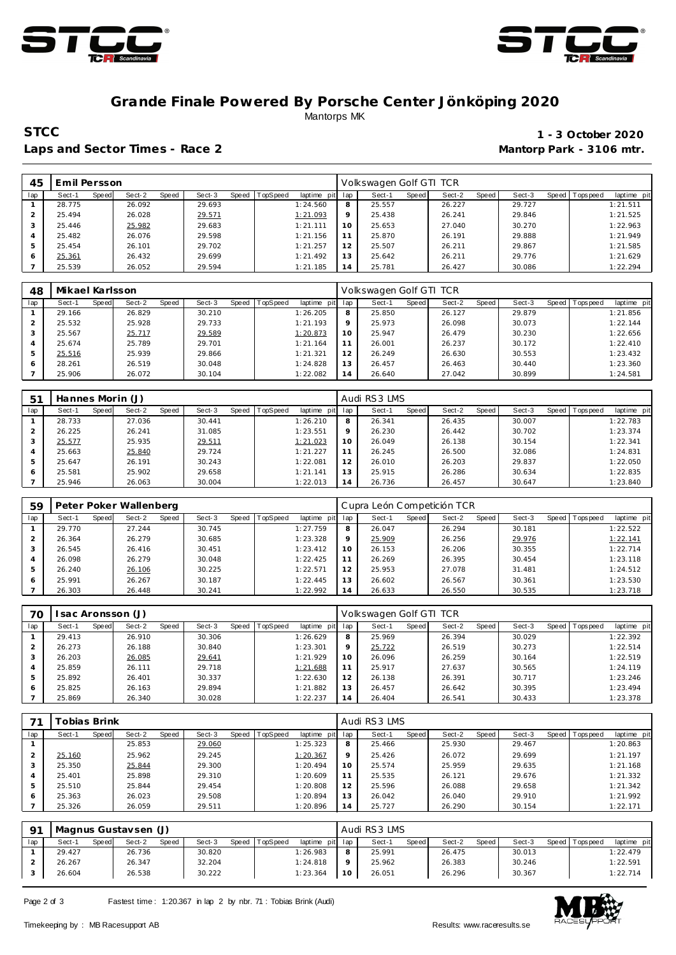



#### **Grande Finale Powered By Porsche Center Jönköping 2020** Mantorps MK

**STCC** 1 - 3 October 2020 Laps and Sector Times - Race 2 **Mantorp Park - 3106 mtr.** 

| 45  | Emil Persson    |                 |        |                               |     | Volkswagen Golf GTI TCR |                 |        |                               |
|-----|-----------------|-----------------|--------|-------------------------------|-----|-------------------------|-----------------|--------|-------------------------------|
| lap | Speed<br>Sect-1 | Sect-2<br>Speed | Sect-3 | Speed TopSpeed<br>laptime pit | lap | Sect-1<br>Speed         | Sect-2<br>Speed | Sect-3 | Speed Topspeed<br>laptime pit |
|     | 28.775          | 26.092          | 29.693 | 1:24.560                      | 8   | 25.557                  | 26.227          | 29.727 | 1:21.511                      |
|     | 25.494          | 26.028          | 29.571 | 1:21.093                      | 9   | 25.438                  | 26.241          | 29.846 | 1:21.525                      |
|     | 25.446          | 25.982          | 29.683 | 1:21.111                      | 10  | 25.653                  | 27.040          | 30.270 | 1:22.963                      |
|     | 25.482          | 26.076          | 29.598 | 1:21.156                      | 11  | 25.870                  | 26.191          | 29.888 | 1:21.949                      |
| 5   | 25.454          | 26.101          | 29.702 | 1:21.257                      | 12  | 25.507                  | 26.211          | 29.867 | 1:21.585                      |
| 6   | 25.361          | 26.432          | 29.699 | 1:21.492                      | 13  | 25.642                  | 26.211          | 29.776 | 1:21.629                      |
|     | 25.539          | 26.052          | 29.594 | 1:21.185                      | 14  | 25.781                  | 26.427          | 30.086 | 1:22.294                      |

| 48  | Mikael Karlsson |       |        |       |        |       |          |                 |         | Volkswagen Golf GTI TCR |              |        |       |        |                |             |
|-----|-----------------|-------|--------|-------|--------|-------|----------|-----------------|---------|-------------------------|--------------|--------|-------|--------|----------------|-------------|
| lap | Sect-1          | Speed | Sect-2 | Speed | Sect-3 | Speed | TopSpeed | laptime<br>pitl | lap     | Sect-1                  | <b>Speed</b> | Sect-2 | Speed | Sect-3 | Speed Topspeed | laptime pit |
|     | 29.166          |       | 26.829 |       | 30.210 |       |          | 1:26.205        | 8       | 25.850                  |              | 26.127 |       | 29.879 |                | 1:21.856    |
|     | 25.532          |       | 25.928 |       | 29.733 |       |          | 1:21.193        | $\circ$ | 25.973                  |              | 26.098 |       | 30.073 |                | 1:22.144    |
|     | 25.567          |       | 25.717 |       | 29.589 |       |          | 1:20.873        | 10      | 25.947                  |              | 26.479 |       | 30.230 |                | 1:22.656    |
|     | 25.674          |       | 25.789 |       | 29.701 |       |          | 1:21.164        |         | 26.001                  |              | 26.237 |       | 30.172 |                | 1:22.410    |
|     | 25.516          |       | 25.939 |       | 29.866 |       |          | 1:21.321        | 12      | 26.249                  |              | 26.630 |       | 30.553 |                | 1:23.432    |
| 6   | 28.261          |       | 26.519 |       | 30.048 |       |          | 1:24.828        | 13      | 26.457                  |              | 26.463 |       | 30.440 |                | 1:23.360    |
|     | 25.906          |       | 26.072 |       | 30.104 |       |          | 1:22.082        | 14      | 26.640                  |              | 27.042 |       | 30.899 |                | 1:24.581    |

| $5^{\circ}$ | Hannes Morin (J) |       |        |       |        |       |         |             |                | Audi RS3 LMS |       |        |       |        |         |           |             |
|-------------|------------------|-------|--------|-------|--------|-------|---------|-------------|----------------|--------------|-------|--------|-------|--------|---------|-----------|-------------|
| lap         | Sect-1           | Speed | Sect-2 | Speed | Sect-3 | Speed | opSpeed | laptime pit | lap            | Sect-1       | Speed | Sect-2 | Speed | Sect-3 | Speed I | Tops peed | laptime pit |
|             | 28.733           |       | 27.036 |       | 30.441 |       |         | 1:26.210    | 8              | 26.341       |       | 26.435 |       | 30.007 |         |           | 1:22.783    |
|             | 26.225           |       | 26.241 |       | 31.085 |       |         | 1:23.551    | 9              | 26.230       |       | 26.442 |       | 30.702 |         |           | 1:23.374    |
| 3           | 25.577           |       | 25.935 |       | 29.511 |       |         | 1:21.023    | 10             | 26.049       |       | 26.138 |       | 30.154 |         |           | 1:22.341    |
| 4           | 25.663           |       | 25.840 |       | 29.724 |       |         | 1:21.227    |                | 26.245       |       | 26.500 |       | 32.086 |         |           | 1:24.831    |
| ь           | 25.647           |       | 26.191 |       | 30.243 |       |         | 1:22.081    | 12             | 26.010       |       | 26.203 |       | 29.837 |         |           | 1:22.050    |
| 6           | 25.581           |       | 25.902 |       | 29.658 |       |         | 1:21.141    | 13             | 25.915       |       | 26.286 |       | 30.634 |         |           | 1:22.835    |
|             | 25.946           |       | 26.063 |       | 30.004 |       |         | 1:22.013    | $\overline{4}$ | 26.736       |       | 26.457 |       | 30.647 |         |           | 1:23.840    |

| 59  |        |       | Peter Poker Wallenberg |       |        |       |          |             |         | Cupra León Competición TCR |       |        |       |        |         |             |             |
|-----|--------|-------|------------------------|-------|--------|-------|----------|-------------|---------|----------------------------|-------|--------|-------|--------|---------|-------------|-------------|
| lap | Sect-1 | Speed | Sect-2                 | Speed | Sect-3 | Speed | TopSpeed | laptime pit | lap     | Sect-1                     | Speed | Sect-2 | Speed | Sect-3 | Speed I | T ops pee d | laptime pit |
|     | 29.770 |       | 27.244                 |       | 30.745 |       |          | 1:27.759    | 8       | 26.047                     |       | 26.294 |       | 30.181 |         |             | 1:22.522    |
|     | 26.364 |       | 26.279                 |       | 30.685 |       |          | 1:23.328    | $\circ$ | 25.909                     |       | 26.256 |       | 29.976 |         |             | 1:22.141    |
|     | 26.545 |       | 26.416                 |       | 30.451 |       |          | 1:23.412    | 10      | 26.153                     |       | 26.206 |       | 30.355 |         |             | 1:22.714    |
|     | 26.098 |       | 26.279                 |       | 30.048 |       |          | 1:22.425    | 11      | 26.269                     |       | 26.395 |       | 30.454 |         |             | 1:23.118    |
| 5   | 26.240 |       | 26.106                 |       | 30.225 |       |          | 1:22.571    | 12      | 25.953                     |       | 27.078 |       | 31.481 |         |             | 1:24.512    |
| 6   | 25.991 |       | 26.267                 |       | 30.187 |       |          | 1:22.445    | 13      | 26.602                     |       | 26.567 |       | 30.361 |         |             | 1:23.530    |
|     | 26.303 |       | 26.448                 |       | 30.241 |       |          | 1:22.992    | 14      | 26.633                     |       | 26.550 |       | 30.535 |         |             | 1:23.718    |

| 70  |        |       | sac Aronsson (J) |       |        |       |          |                 |         | Volkswagen Golf GTI TCR |              |        |         |        |                 |             |
|-----|--------|-------|------------------|-------|--------|-------|----------|-----------------|---------|-------------------------|--------------|--------|---------|--------|-----------------|-------------|
| lap | Sect-1 | Speed | Sect-2           | Speed | Sect-3 | Speed | TopSpeed | laptime pit lap |         | Sect-1                  | <b>Speed</b> | Sect-2 | Speed ' | Sect-3 | Speed Tops peed | laptime pit |
|     | 29.413 |       | 26.910           |       | 30.306 |       |          | 1:26.629        | 8       | 25.969                  |              | 26.394 |         | 30.029 |                 | 1:22.392    |
|     | 26.273 |       | 26.188           |       | 30.840 |       |          | 1:23.301        | $\circ$ | 25.722                  |              | 26.519 |         | 30.273 |                 | 1:22.514    |
|     | 26.203 |       | 26.085           |       | 29.641 |       |          | 1:21.929        | 10      | 26.096                  |              | 26.259 |         | 30.164 |                 | 1:22.519    |
| 4   | 25.859 |       | 26.111           |       | 29.718 |       |          | 1:21.688        |         | 25.917                  |              | 27.637 |         | 30.565 |                 | 1:24.119    |
| 5   | 25.892 |       | 26.401           |       | 30.337 |       |          | 1:22.630        | 12      | 26.138                  |              | 26.391 |         | 30.717 |                 | 1:23.246    |
| 6   | 25.825 |       | 26.163           |       | 29.894 |       |          | 1:21.882        | 13      | 26.457                  |              | 26.642 |         | 30.395 |                 | 1:23.494    |
|     | 25.869 |       | 26.340           |       | 30.028 |       |          | 1:22.237        | 14      | 26.404                  |              | 26.541 |         | 30.433 |                 | 1:23.378    |

|     | Tobias Brink |       |        |       |        |       | Audi RS3 LMS    |             |         |        |       |        |       |        |       |           |             |
|-----|--------------|-------|--------|-------|--------|-------|-----------------|-------------|---------|--------|-------|--------|-------|--------|-------|-----------|-------------|
| lap | Sect-1       | Speed | Sect-2 | Speed | Sect-3 | Speed | <b>TopSpeed</b> | laptime pit | lap     | Sect-1 | Speed | Sect-2 | Speed | Sect-3 | Speed | Tops peed | laptime pit |
|     |              |       | 25.853 |       | 29.060 |       |                 | 1:25.323    | 8       | 25.466 |       | 25.930 |       | 29.467 |       |           | 1:20.863    |
|     | 25.160       |       | 25.962 |       | 29.245 |       |                 | 1:20.367    | $\circ$ | 25.426 |       | 26.072 |       | 29.699 |       |           | 1:21.197    |
|     | 25.350       |       | 25.844 |       | 29.300 |       |                 | 1:20.494    | 10      | 25.574 |       | 25.959 |       | 29.635 |       |           | 1:21.168    |
|     | 25.401       |       | 25.898 |       | 29.310 |       |                 | 1:20.609    | 11      | 25.535 |       | 26.121 |       | 29.676 |       |           | 1:21.332    |
|     | 25.510       |       | 25.844 |       | 29.454 |       |                 | 1:20.808    | 12      | 25.596 |       | 26.088 |       | 29.658 |       |           | 1:21.342    |
| 6   | 25.363       |       | 26.023 |       | 29.508 |       |                 | 1:20.894    | 13      | 26.042 |       | 26.040 |       | 29.910 |       |           | 1:21.992    |
|     | 25.326       |       | 26.059 |       | 29.511 |       |                 | 1:20.896    | 14      | 25.727 |       | 26.290 |       | 30.154 |       |           | 1:22.171    |

| $\Omega$ 1 | Magnus Gustavsen (J) |       |        |       |        |       |          | Audi RS3 LMS    |    |        |       |        |         |        |       |            |             |
|------------|----------------------|-------|--------|-------|--------|-------|----------|-----------------|----|--------|-------|--------|---------|--------|-------|------------|-------------|
| lap        | Sect-1               | Speed | Sect-2 | Speed | Sect-3 | Speed | TopSpeed | laptime pit lap |    | Sect-1 | Speed | Sect-2 | Speed I | Sect-3 | Speed | Tops pee d | laptime pit |
|            | 29.427               |       | 26.736 |       | 30.820 |       |          | 1:26.983        | 8  | 25.991 |       | 26.475 |         | 30.013 |       |            | 1:22.479    |
|            | 26.267               |       | 26.347 |       | 32.204 |       |          | 1:24.818        |    | 25.962 |       | 26.383 |         | 30.246 |       |            | 1:22.591    |
|            | 26.604               |       | 26.538 |       | 30.222 |       |          | 1:23.364        | 10 | 26.051 |       | 26.296 |         | 30.367 |       |            | 1:22.714    |

Page 2 of 3 Fastest time : 1:20.367 in lap 2 by nbr. 71 : Tobias Brink (Audi)